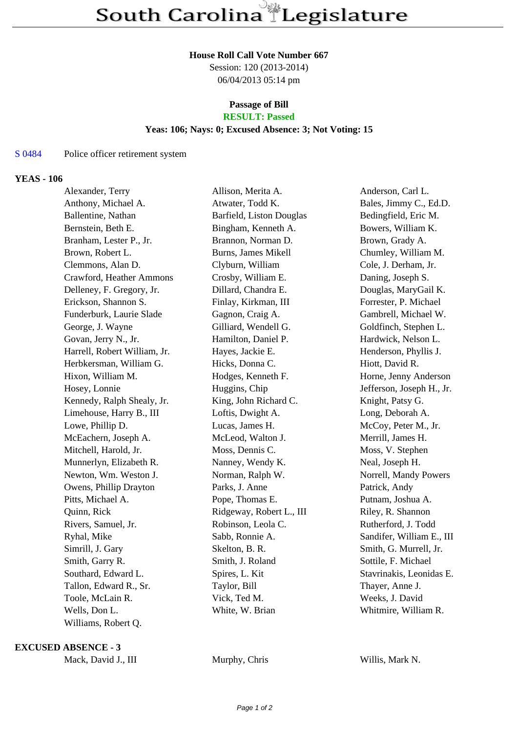#### **House Roll Call Vote Number 667**

Session: 120 (2013-2014) 06/04/2013 05:14 pm

### **Passage of Bill RESULT: Passed**

### **Yeas: 106; Nays: 0; Excused Absence: 3; Not Voting: 15**

# S 0484 Police officer retirement system

## **YEAS - 106**

| Alexander, Terry             | Allison, Merita A.       | Anderson, Carl L.         |
|------------------------------|--------------------------|---------------------------|
| Anthony, Michael A.          | Atwater, Todd K.         | Bales, Jimmy C., Ed.D.    |
| Ballentine, Nathan           | Barfield, Liston Douglas | Bedingfield, Eric M.      |
| Bernstein, Beth E.           | Bingham, Kenneth A.      | Bowers, William K.        |
| Branham, Lester P., Jr.      | Brannon, Norman D.       | Brown, Grady A.           |
| Brown, Robert L.             | Burns, James Mikell      | Chumley, William M.       |
| Clemmons, Alan D.            | Clyburn, William         | Cole, J. Derham, Jr.      |
| Crawford, Heather Ammons     | Crosby, William E.       | Daning, Joseph S.         |
| Delleney, F. Gregory, Jr.    | Dillard, Chandra E.      | Douglas, MaryGail K.      |
| Erickson, Shannon S.         | Finlay, Kirkman, III     | Forrester, P. Michael     |
| Funderburk, Laurie Slade     | Gagnon, Craig A.         | Gambrell, Michael W.      |
| George, J. Wayne             | Gilliard, Wendell G.     | Goldfinch, Stephen L.     |
| Govan, Jerry N., Jr.         | Hamilton, Daniel P.      | Hardwick, Nelson L.       |
| Harrell, Robert William, Jr. | Hayes, Jackie E.         | Henderson, Phyllis J.     |
| Herbkersman, William G.      | Hicks, Donna C.          | Hiott, David R.           |
| Hixon, William M.            | Hodges, Kenneth F.       | Horne, Jenny Anderson     |
| Hosey, Lonnie                | Huggins, Chip            | Jefferson, Joseph H., Jr. |
| Kennedy, Ralph Shealy, Jr.   | King, John Richard C.    | Knight, Patsy G.          |
| Limehouse, Harry B., III     | Loftis, Dwight A.        | Long, Deborah A.          |
| Lowe, Phillip D.             | Lucas, James H.          | McCoy, Peter M., Jr.      |
| McEachern, Joseph A.         | McLeod, Walton J.        | Merrill, James H.         |
| Mitchell, Harold, Jr.        | Moss, Dennis C.          | Moss, V. Stephen          |
| Munnerlyn, Elizabeth R.      | Nanney, Wendy K.         | Neal, Joseph H.           |
| Newton, Wm. Weston J.        | Norman, Ralph W.         | Norrell, Mandy Powers     |
| Owens, Phillip Drayton       | Parks, J. Anne           | Patrick, Andy             |
| Pitts, Michael A.            | Pope, Thomas E.          | Putnam, Joshua A.         |
| Quinn, Rick                  | Ridgeway, Robert L., III | Riley, R. Shannon         |
| Rivers, Samuel, Jr.          | Robinson, Leola C.       | Rutherford, J. Todd       |
| Ryhal, Mike                  | Sabb, Ronnie A.          | Sandifer, William E., III |
| Simrill, J. Gary             | Skelton, B. R.           | Smith, G. Murrell, Jr.    |
| Smith, Garry R.              | Smith, J. Roland         | Sottile, F. Michael       |
| Southard, Edward L.          | Spires, L. Kit           | Stavrinakis, Leonidas E.  |
| Tallon, Edward R., Sr.       | Taylor, Bill             | Thayer, Anne J.           |
| Toole, McLain R.             | Vick, Ted M.             | Weeks, J. David           |
| Wells, Don L.                | White, W. Brian          | Whitmire, William R.      |
| Williams, Robert Q.          |                          |                           |

### **EXCUSED ABSENCE - 3**

Mack, David J., III Murphy, Chris Willis, Mark N.